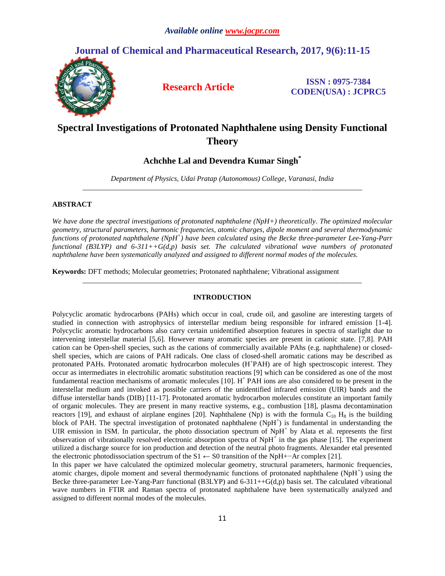## **Journal of Chemical and Pharmaceutical Research, 2017, 9(6):11-15**



**Research Article ISSN : 0975-7384 CODEN(USA) : JCPRC5**

# **Spectral Investigations of Protonated Naphthalene using Density Functional Theory**

## **Achchhe Lal and Devendra Kumar Singh\***

*Department of Physics, Udai Pratap (Autonomous) College, Varanasi, India \_\_\_\_\_\_\_\_\_\_\_\_\_\_\_\_\_\_\_\_\_\_\_\_\_\_\_\_\_\_\_\_\_\_\_\_\_\_\_\_\_\_\_\_\_\_\_\_\_\_\_\_\_\_\_\_\_\_\_\_\_\_\_\_\_\_\_\_\_\_\_\_\_\_\_\_\_*

### **ABSTRACT**

*We have done the spectral investigations of protonated naphthalene (NpH+) theoretically. The optimized molecular geometry, structural parameters, harmonic frequencies, atomic charges, dipole moment and several thermodynamic functions of protonated naphthalene (NpH + ) have been calculated using the Becke three-parameter Lee-Yang-Parr functional (B3LYP) and 6-311++G(d,p) basis set. The calculated vibrational wave numbers of protonated naphthalene have been systematically analyzed and assigned to different normal modes of the molecules.*

**Keywords:** DFT methods; Molecular geometries; Protonated naphthalene; Vibrational assignment

#### **INTRODUCTION**

*\_\_\_\_\_\_\_\_\_\_\_\_\_\_\_\_\_\_\_\_\_\_\_\_\_\_\_\_\_\_\_\_\_\_\_\_\_\_\_\_\_\_\_\_\_\_\_\_\_\_\_\_\_\_\_\_\_\_\_\_\_\_\_\_\_\_\_\_\_\_\_\_\_\_\_\_\_*

Polycyclic aromatic hydrocarbons (PAHs) which occur in coal, crude oil, and gasoline are interesting targets of studied in connection with astrophysics of interstellar medium being responsible for infrared emission [1-4]. Polycyclic aromatic hydrocarbons also carry certain unidentified absorption features in spectra of starlight due to intervening interstellar material [5,6]. However many aromatic species are present in cationic state. [7,8]. PAH cation can be Open-shell species, such as the cations of commercially available PAhs (e.g. naphthalene) or closedshell species, which are caions of PAH radicals. One class of closed-shell aromatic cations may be described as protonated PAHs. Protonated aromatic hydrocarbon molecules (H<sup>+</sup>PAH) are of high spectroscopic interest. They occur as intermediates in electrohilic aromatic substitution reactions [9] which can be considered as one of the most fundamental reaction mechanisms of aromatic molecules [10]. H<sup>+</sup> PAH ions are also considered to be present in the interstellar medium and invoked as possible carriers of the unidentified infrared emission (UIR) bands and the diffuse interstellar bands (DIB) [11-17]. Protonated aromatic hydrocarbon molecules constitute an important family of organic molecules. They are present in many reactive systems, e.g., combustion [18], plasma decontamination reactors [19], and exhaust of airplane engines [20]. Naphthalene (Np) is with the formula  $C_{10}$  H<sub>8</sub> is the building block of PAH. The spectral investigation of protonated naphthalene (NpH<sup>+</sup>) is fundamental in understanding the UIR emission in ISM. In particular, the photo dissociation spectrum of  $NpH<sup>+</sup>$  by Alata et al. represents the first observation of vibrationally resolved electronic absorption spectra of NpH<sup>+</sup> in the gas phase [15]. The experiment utilized a discharge source for ion production and detection of the neutral photo fragments. Alexander etal presented the electronic photodissociation spectrum of the S1 ← S0 transition of the NpH+−Ar complex [21].

In this paper we have calculated the optimized molecular geometry, structural parameters, harmonic frequencies, atomic charges, dipole moment and several thermodynamic functions of protonated naphthalene (NpH<sup>+</sup>) using the Becke three-parameter Lee-Yang-Parr functional (B3LYP) and 6-311++G(d,p) basis set. The calculated vibrational wave numbers in FTIR and Raman spectra of protonated naphthalene have been systematically analyzed and assigned to different normal modes of the molecules.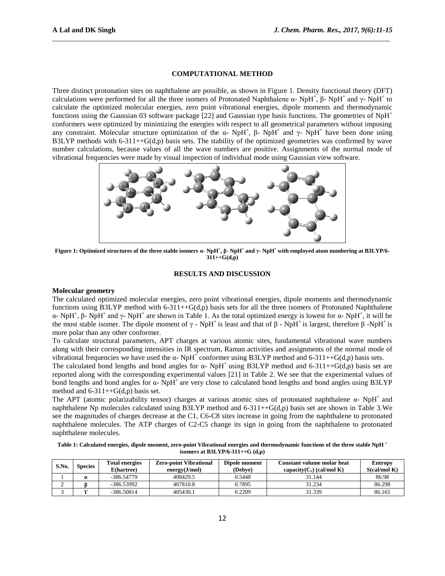#### **COMPUTATIONAL METHOD**

\_\_\_\_\_\_\_\_\_\_\_\_\_\_\_\_\_\_\_\_\_\_\_\_\_\_\_\_\_\_\_\_\_\_\_\_\_\_\_\_\_\_\_\_\_\_\_\_\_\_\_\_\_\_\_\_\_\_\_\_\_\_\_\_\_\_\_\_\_\_\_\_\_\_\_\_\_\_\_\_\_\_\_\_\_\_\_\_\_\_\_\_\_

Three distinct protonation sites on naphthalene are possible, as shown in Figure 1. Density functional theory (DFT) calculations were performed for all the three isomers of Protonated Naphthalene  $\alpha$ - NpH<sup>+</sup>, β- NpH<sup>+</sup> and γ- NpH<sup>+</sup> to calculate the optimized molecular energies, zero point vibrational energies, dipole moments and thermodynamic functions using the Gaussian 03 software package [22] and Gaussian type basis functions. The geometries of NpH<sup>+</sup> conformers were optimized by minimizing the energies with respect to all geometrical parameters without imposing any constraint. Molecular structure optimization of the  $\alpha$ - NpH<sup>+</sup>,  $\beta$ - NpH<sup>+</sup> and  $\gamma$ - NpH<sup>+</sup> have been done using B3LYP methods with  $6-311++G(d,p)$  basis sets. The stability of the optimized geometries was confirmed by wave number calculations, because values of all the wave numbers are positive. Assignments of the normal mode of vibrational frequencies were made by visual inspection of individual mode using Gaussian view software.



**Figure 1: Optimized structures of the three stable isomers α- NpH<sup>+</sup> , β- NpH<sup>+</sup> and γ- NpH<sup>+</sup> with employed atom numbering at B3LYP/6- 311++G(d,p)**

#### **RESULTS AND DISCUSSION**

#### **Molecular geometry**

The calculated optimized molecular energies, zero point vibrational energies, dipole moments and thermodynamic functions using B3LYP method with  $6-311++G(d,p)$  basis sets for all the three isomers of Protonated Naphthalene α- NpH<sup>+</sup>, β- NpH<sup>+</sup> and γ- NpH<sup>+</sup> are shown in Table 1. As the total optimized energy is lowest for α- NpH<sup>+</sup>, it will be the most stable isomer. The dipole moment of  $\gamma$  - NpH<sup>+</sup> is least and that of  $\beta$  - NpH<sup>+</sup> is largest, therefore  $\beta$  -NpH<sup>+</sup> is more polar than any other conformer.

To calculate structural parameters, APT charges at various atomic sites, fundamental vibrational wave numbers along with their corresponding intensities in IR spectrum, Raman activities and assignments of the normal mode of vibrational frequencies we have used the α- NpH<sup>+</sup> conformer using B3LYP method and 6-311++G(d,p) basis sets.

The calculated bond lengths and bond angles for  $\alpha$ - NpH<sup>+</sup> using B3LYP method and 6-311++G(d,p) basis set are reported along with the corresponding experimental values [21] in Table 2. We see that the experimental values of bond lengths and bond angles for  $\alpha$ - NpH<sup>+</sup> are very close to calculated bond lengths and bond angles using B3LYP method and  $6-311++G(d,p)$  basis set.

The APT (atomic polarizability tensor) charges at various atomic sites of protonated naphthalene  $\alpha$ - NpH<sup>+</sup> and naphthalene Np molecules calculated using B3LYP method and 6-311++G(d,p) basis set are shown in Table 3.We see the magnitudes of charges decrease at the C1, C6-C8 sites increase in going from the naphthalene to protonated naphthalene molecules. The ATP charges of C2-C5 change its sign in going from the naphthalene to protonated naphthalene molecules.

**Table 1: Calculated energies, dipole moment, zero-point Vibrational energies and thermodynamic functions of the three stable NpH <sup>+</sup> isomers at B3LYP/6-311++G (d,p)**

| S.No. | <b>Species</b> | <b>Total energies</b><br>E(hartree) | <b>Zero-point Vibrational</b><br>energy(J/mol) | Dipole moment<br>(Debye) | <b>Constant volume molar heat</b><br>capacity( $C_v$ ) (cal/mol K) | Entropy<br>$S$ (cal/mol K) |
|-------|----------------|-------------------------------------|------------------------------------------------|--------------------------|--------------------------------------------------------------------|----------------------------|
|       |                | $-386.54779$                        | 408429.5                                       | 0.5448                   | 31.144                                                             | 86.98                      |
| ∼     |                | -386.53992                          | 407810.8                                       | 0.7895                   | 31.234                                                             | 86.298                     |
|       |                | $-386.50814$                        | 405430.1                                       | 0.2209                   | 31.339                                                             | 86.165                     |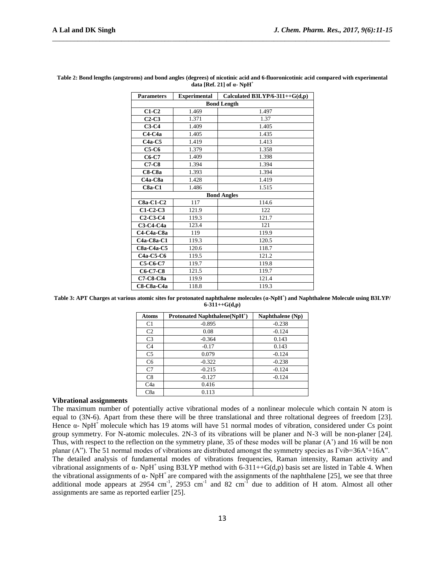| <b>Parameters</b>                 | <b>Experimental</b> | Calculated B3LYP/6-311++ $G(d,p)$ |  |  |  |  |
|-----------------------------------|---------------------|-----------------------------------|--|--|--|--|
| <b>Bond Length</b>                |                     |                                   |  |  |  |  |
| $C1-C2$                           | 1.469               | 1.497                             |  |  |  |  |
| $C2-C3$                           | 1.371               | 1.37                              |  |  |  |  |
| $C3-C4$                           | 1.409               | 1.405                             |  |  |  |  |
| $C4-C4a$                          | 1.405               | 1.435                             |  |  |  |  |
| $C4a-C5$                          | 1.419               | 1.413                             |  |  |  |  |
| $C5-C6$                           | 1.379               | 1.358                             |  |  |  |  |
| $C6-C7$                           | 1.409               | 1.398                             |  |  |  |  |
| $C7-C8$                           | 1.394               | 1.394                             |  |  |  |  |
| $C8-C8a$                          | 1.393               | 1.394                             |  |  |  |  |
| C <sub>4</sub> a-C <sub>8</sub> a | 1.428               | 1.419                             |  |  |  |  |
| $C8a-C1$                          | 1.486               | 1.515                             |  |  |  |  |
| <b>Bond Angles</b>                |                     |                                   |  |  |  |  |
| <b>C8a-C1-C2</b>                  | 117                 | 114.6                             |  |  |  |  |
| $C1-C2-C3$                        | 121.9               | 122                               |  |  |  |  |
| $C2-C3-C4$                        | 119.3               | 121.7                             |  |  |  |  |
| <b>C3-C4-C4a</b>                  | 123.4               | 121                               |  |  |  |  |
| C4-C4a-C8a                        | 119                 | 119.9                             |  |  |  |  |
| <b>C4a-C8a-C1</b>                 | 119.3               | 120.5                             |  |  |  |  |
| $C8a-C4a-C5$                      | 120.6               | 118.7                             |  |  |  |  |
| <b>C4a-C5-C6</b>                  | 119.5               | 121.2                             |  |  |  |  |
| <b>C5-C6-C7</b>                   | 119.7               | 119.8                             |  |  |  |  |
| C6-C7-C8                          | 121.5               | 119.7                             |  |  |  |  |
| <b>C7-C8-C8a</b>                  | 119.9               | 121.4                             |  |  |  |  |
| C8-C8a-C4a                        | 118.8               | 119.3                             |  |  |  |  |

**Table 2: Bond lengths (angstroms) and bond angles (degrees) of nicotinic acid and 6-fluoronicotinic acid compared with experimental data [Ref. 21] of α- NpH<sup>+</sup>**

\_\_\_\_\_\_\_\_\_\_\_\_\_\_\_\_\_\_\_\_\_\_\_\_\_\_\_\_\_\_\_\_\_\_\_\_\_\_\_\_\_\_\_\_\_\_\_\_\_\_\_\_\_\_\_\_\_\_\_\_\_\_\_\_\_\_\_\_\_\_\_\_\_\_\_\_\_\_\_\_\_\_\_\_\_\_\_\_\_\_\_\_\_

**Table 3: APT Charges at various atomic sites for protonated naphthalene molecules (α-NpH<sup>+</sup> ) and Naphthalene Molecule using B3LYP/ 6-311++G(d,p)**

| <b>Atoms</b>     | <b>Protonated Naphthalene(NpH<sup>+</sup>)</b> | Naphthalene (Np) |
|------------------|------------------------------------------------|------------------|
| C <sub>1</sub>   | $-0.895$                                       | $-0.238$         |
| C <sub>2</sub>   | 0.08                                           | $-0.124$         |
| C <sub>3</sub>   | $-0.364$                                       | 0.143            |
| C <sub>4</sub>   | $-0.17$                                        | 0.143            |
| C <sub>5</sub>   | 0.079                                          | $-0.124$         |
| C <sub>6</sub>   | $-0.322$                                       | $-0.238$         |
| C7               | $-0.215$                                       | $-0.124$         |
| C8               | $-0.127$                                       | $-0.124$         |
| C <sub>4</sub> a | 0.416                                          |                  |
| C8a              | 0.113                                          |                  |

#### **Vibrational assignments**

The maximum number of potentially active vibrational modes of a nonlinear molecule which contain N atom is equal to (3N-6). Apart from these there will be three translational and three roltational degrees of freedom [23]. Hence  $\alpha$ - NpH<sup>+</sup> molecule which has 19 atoms will have 51 normal modes of vibration, considered under Cs point group symmetry. For N-atomic molecules. 2N-3 of its vibrations will be planer and N-3 will be non-planer [24]. Thus, with respect to the reflection on the symmetry plane, 35 of these modes will be planar (A') and 16 will be non planar (A"). The 51 normal modes of vibrations are distributed amongst the symmetry species as Γvib=36A'+16A". The detailed analysis of fundamental modes of vibrations frequencies, Raman intensity, Raman activity and vibrational assignments of  $\alpha$ - NpH<sup>+</sup> using B3LYP method with 6-311++G(d,p) basis set are listed in Table 4. When the vibrational assignments of  $\alpha$ - NpH<sup>+</sup> are compared with the assignments of the naphthalene [25], we see that three additional mode appears at 2954 cm<sup>-1</sup>, 2953 cm<sup>-1</sup> and 82 cm<sup>-1</sup> due to addition of H atom. Almost all other assignments are same as reported earlier [25].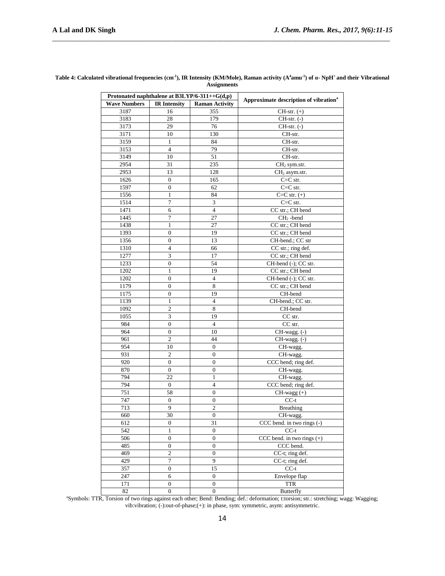| Protonated naphthalene at $B3LYP/6-311++G(d,p)$ |                     |                       |                                                   |
|-------------------------------------------------|---------------------|-----------------------|---------------------------------------------------|
| <b>Wave Numbers</b>                             | <b>IR Intensity</b> | <b>Raman Activity</b> | Approximate description of vibration <sup>a</sup> |
| 3187                                            | 16                  | 355                   | $CH-str. (+)$                                     |
| 3183                                            | 28                  | 179                   | $CH-str. (-)$                                     |
| 3173                                            | 29                  | 76                    | $CH-str. (-)$                                     |
| 3171                                            | 10                  | 130                   | CH-str.                                           |
| 3159                                            | $\mathbf{1}$        | 84                    | CH-str.                                           |
| 3153                                            | $\overline{4}$      | 79                    | CH-str.                                           |
| 3149                                            | 10                  | 51                    | CH-str.                                           |
| 2954                                            | 31                  | 235                   | CH <sub>2</sub> sym.str.                          |
| 2953                                            | 13                  | 128                   | CH <sub>2</sub> asym.str.                         |
| 1626                                            | $\mathbf{0}$        | 165                   | $C=C$ str.                                        |
| 1597                                            | $\boldsymbol{0}$    | 62                    | $C=C$ str.                                        |
| 1556                                            | $\mathbf{1}$        | 84                    | $C=C str. (+)$                                    |
| 1514                                            | 7                   | $\mathfrak{Z}$        | $C = C$ str.                                      |
| 1471                                            | 6                   | $\overline{4}$        | CC str.; CH bend                                  |
| 1445                                            | 7                   | 27                    | $CH2$ -bend                                       |
| 1438                                            | 1                   | 27                    | CC str.; CH bend                                  |
| 1393                                            | $\boldsymbol{0}$    | 19                    | CC str.; CH bend                                  |
| 1356                                            | $\overline{0}$      | 13                    | CH-bend.; CC str                                  |
| 1310                                            | $\overline{4}$      | 66                    | CC str.; ring def.                                |
| 1277                                            | 3                   | 17                    | CC str.; CH bend                                  |
| 1233                                            | $\mathbf{0}$        | 54                    | CH-bend (-); CC str.                              |
| 1202                                            | 1                   | 19                    | CC str.; CH bend                                  |
| 1202                                            | $\boldsymbol{0}$    | $\overline{4}$        | CH-bend (-); CC str.                              |
| 1179                                            | $\mathbf{0}$        | 8                     | CC str.; CH bend                                  |
| 1175                                            | $\overline{0}$      | 19                    | CH-bend                                           |
| 1139                                            | $\mathbf{1}$        | $\overline{4}$        | CH-bend.; CC str.                                 |
| 1092                                            | 2                   | 8                     | CH-bend                                           |
| 1055                                            | 3                   | 19                    | CC str.                                           |
| 984                                             | $\boldsymbol{0}$    | $\overline{4}$        | CC str.                                           |
| 964                                             | $\boldsymbol{0}$    | 10                    | CH-wagg. (-)                                      |
| 961                                             | 2                   | 44                    | CH-wagg. (-)                                      |
| 954                                             | 10                  | 0                     | $CH$ -wagg.                                       |
| 931                                             | $\mathfrak{2}$      | $\boldsymbol{0}$      | CH-wagg.                                          |
| 920                                             | $\boldsymbol{0}$    | $\boldsymbol{0}$      | CCC bend; ring def.                               |
| 870                                             | $\boldsymbol{0}$    | $\boldsymbol{0}$      | CH-wagg.                                          |
| 794                                             | 22                  | 1                     | CH-wagg.                                          |
| 794                                             | $\mathbf{0}$        | $\overline{4}$        | CCC bend; ring def.                               |
| 751                                             | 58                  | $\boldsymbol{0}$      | $CH$ -wagg $(+)$                                  |
| 747                                             | $\mathbf{0}$        | $\boldsymbol{0}$      | $CC-t$                                            |
| 713                                             | 9                   | $\overline{2}$        | <b>Breathing</b>                                  |
| 660                                             | 30                  | $\boldsymbol{0}$      | CH-wagg.                                          |
| 612                                             | 0                   | 31                    | CCC bend. in two rings (-)                        |
| 542                                             | $\mathbf{1}$        | $\boldsymbol{0}$      | $CC-t$                                            |
| 506                                             | $\boldsymbol{0}$    | $\boldsymbol{0}$      | CCC bend. in two rings $(+)$                      |
| 485                                             | $\boldsymbol{0}$    | $\overline{0}$        | CCC bend.                                         |
| 469                                             | $\overline{2}$      | $\boldsymbol{0}$      | CC-t; ring def.                                   |
| 429                                             | $\tau$              | 9                     | CC-t; ring def.                                   |
| 357                                             | $\boldsymbol{0}$    | 15                    | $CC-t$                                            |
| 247                                             | 6                   | $\overline{0}$        | Envelope flap                                     |
| 171                                             | $\boldsymbol{0}$    | $\boldsymbol{0}$      | <b>TTR</b>                                        |
| $\circ$                                         | $\Omega$            | $\Omega$              | $D$ uttorfly                                      |

#### **Table 4: Calculated vibrational frequencies (cm-1 ), IR Intensity (KM/Mole), Raman activity (A<sup>4</sup> amu-1 ) of α- NpH<sup>+</sup>and their Vibrational Assignments**

\_\_\_\_\_\_\_\_\_\_\_\_\_\_\_\_\_\_\_\_\_\_\_\_\_\_\_\_\_\_\_\_\_\_\_\_\_\_\_\_\_\_\_\_\_\_\_\_\_\_\_\_\_\_\_\_\_\_\_\_\_\_\_\_\_\_\_\_\_\_\_\_\_\_\_\_\_\_\_\_\_\_\_\_\_\_\_\_\_\_\_\_\_

<sup>a</sup>Symbols: TTR, Torsion of two rings against each other; Bend: Bending; def.: deformation; t:torsion; str.: stretching; wagg: Wagging; vib:vibration; (-):out-of-phase;(+): in phase, sym: symmetric, asym: antisymmetric.